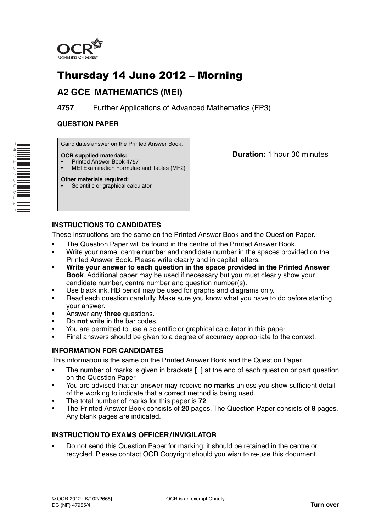

# Thursday 14 June 2012 – Morning

# **A2 GCE MATHEMATICS (MEI)**

**4757** Further Applications of Advanced Mathematics (FP3)

## **QUESTION PAPER**

Candidates answer on the Printed Answer Book.

### **OCR supplied materials:**

- Printed Answer Book 4757
- MEI Examination Formulae and Tables (MF2)

**Duration:** 1 hour 30 minutes

#### **Other materials required:** Scientific or graphical calculator

## **INSTRUCTIONS TO CANDIDATES**

These instructions are the same on the Printed Answer Book and the Question Paper.

- The Question Paper will be found in the centre of the Printed Answer Book.
- Write your name, centre number and candidate number in the spaces provided on the Printed Answer Book. Please write clearly and in capital letters.
- **Write your answer to each question in the space provided in the Printed Answer Book**. Additional paper may be used if necessary but you must clearly show your candidate number, centre number and question number(s).
- Use black ink. HB pencil may be used for graphs and diagrams only.
- Read each question carefully. Make sure you know what you have to do before starting your answer.
- Answer any **three** questions.
- Do **not** write in the bar codes.
- You are permitted to use a scientific or graphical calculator in this paper.
- Final answers should be given to a degree of accuracy appropriate to the context.

## **INFORMATION FOR CANDIDATES**

This information is the same on the Printed Answer Book and the Question Paper.

- The number of marks is given in brackets **[ ]** at the end of each question or part question on the Question Paper.
- You are advised that an answer may receive **no marks** unless you show sufficient detail of the working to indicate that a correct method is being used.
- The total number of marks for this paper is **72**.
- The Printed Answer Book consists of **20** pages. The Question Paper consists of **8** pages. Any blank pages are indicated.

## **INSTRUCTION TO EXAMS OFFICER / INVIGILATOR**

• Do not send this Question Paper for marking; it should be retained in the centre or recycled. Please contact OCR Copyright should you wish to re-use this document.

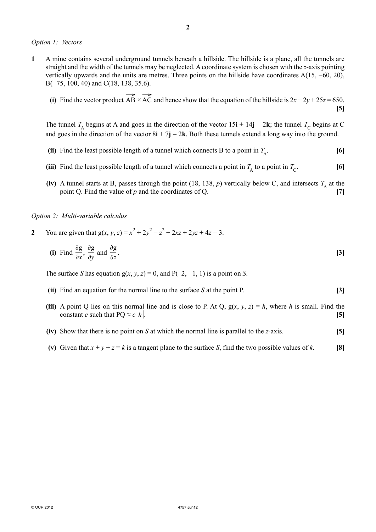#### *Option 1: Vectors*

- **1** A mine contains several underground tunnels beneath a hillside. The hillside is a plane, all the tunnels are straight and the width of the tunnels may be neglected. A coordinate system is chosen with the *z-*axis pointing vertically upwards and the units are metres. Three points on the hillside have coordinates A(15, −60, 20), B(−75, 100, 40) and C(18, 138, 35.6).
	- (i) Find the vector product  $\overrightarrow{AB} \times \overrightarrow{AC}$  and hence show that the equation of the hillside is  $2x 2y + 25z = 650$ . **[5]**

The tunnel  $T_A$  begins at A and goes in the direction of the vector 15**i** + 14**j** − 2**k**; the tunnel  $T_C$  begins at C and goes in the direction of the vector 8**i** + 7**j** − 2**k**. Both these tunnels extend a long way into the ground.

- **(ii)** Find the least possible length of a tunnel which connects B to a point in  $T_{\lambda}$ . [6]
- (iii) Find the least possible length of a tunnel which connects a point in  $T_A$  to a point in  $T_C$ . [6]
- **(iv)** A tunnel starts at B, passes through the point (18, 138,  $p$ ) vertically below C, and intersects  $T_A$  at the point O. Find the value of  $p$  and the coordinates of O. point Q. Find the value of *p* and the coordinates of Q. **[7]**

### *Option 2: Multi-variable calculus*

**2** You are given that  $g(x, y, z) = x^2 + 2y^2 - z^2 + 2xz + 2yz + 4z - 3$ .

(i) Find 
$$
\frac{\partial g}{\partial x}
$$
,  $\frac{\partial g}{\partial y}$  and  $\frac{\partial g}{\partial z}$ . [3]

The surface *S* has equation  $g(x, y, z) = 0$ , and  $P(-2, -1, 1)$  is a point on *S*.

- **(ii)** Find an equation for the normal line to the surface *S* at the point P. **[3]**
- **(iii)** A point Q lies on this normal line and is close to P. At Q,  $g(x, y, z) = h$ , where *h* is small. Find the constant *c* such that  $PQ \approx c|h|$ . **[5]**
- **(iv)** Show that there is no point on *S* at which the normal line is parallel to the *z-*axis. **[5]**
- **(v)** Given that  $x + y + z = k$  is a tangent plane to the surface *S*, find the two possible values of *k*. **[8]**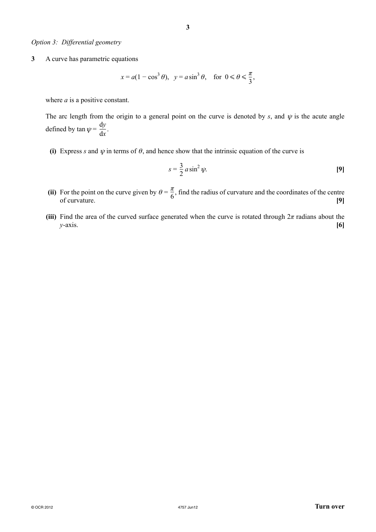### *Option 3: Differential geometry*

**3** A curve has parametric equations

 $x = a(1 - \cos^3 \theta), y = a \sin^3 \theta, \text{ for } 0 \le \theta \le \frac{\pi}{3},$ 

where *a* is a positive constant.

The arc length from the origin to a general point on the curve is denoted by *s*, and  $\psi$  is the acute angle defined by  $\tan \psi = \frac{dy}{dx}$  $\frac{dy}{dx}$ .

**(i)** Express *s* and  $\psi$  in terms of  $\theta$ , and hence show that the intrinsic equation of the curve is

$$
s = \frac{3}{2} a \sin^2 \psi.
$$
 [9]

- **(ii)** For the point on the curve given by  $\theta = \frac{\pi}{6}$  $\frac{\pi}{6}$ , find the radius of curvature and the coordinates of the centre of curvature. **[9]**
	- **(iii)** Find the area of the curved surface generated when the curve is rotated through 2*π* radians about the *y-*axis. **[6]**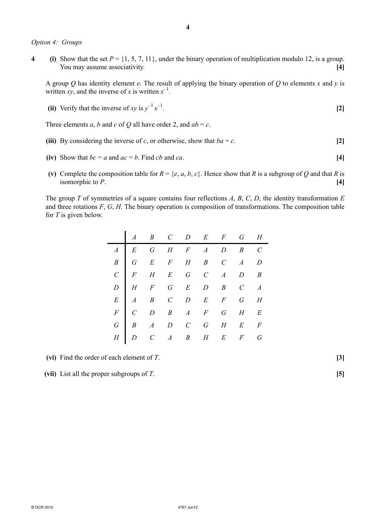#### *Option 4: Groups*

**4** (i) Show that the set  $P = \{1, 5, 7, 11\}$ , under the binary operation of multiplication modulo 12, is a group. You may assume associativity. **[4] [4] [4] [4] [4] [4] [4] [4] [4] [4] [4] [4] [4] [4] [4] [4] [4] [4] [4] [4] [4] [4] [4] [4] [4] [4] [4] [4] [4] [4] [4] [4]**

A group *Q* has identity element *e*. The result of applying the binary operation of *Q* to elements *x* and *y* is written *xy*, and the inverse of *x* is written  $x^{-1}$ .

(ii) Verify that the inverse of xy is 
$$
y^{-1}x^{-1}
$$
. [2]

Three elements *a*, *b* and *c* of *Q* all have order 2, and  $ab = c$ .

- **(iii)** By considering the inverse of *c*, or otherwise, show that  $ba = c$ . [2]
- **(iv)** Show that  $bc = a$  and  $ac = b$ . Find *cb* and *ca*. **[4]**
- (v) Complete the composition table for  $R = \{e, a, b, c\}$ . Hence show that *R* is a subgroup of *Q* and that *R* is isomorphic to  $P$ .  $[4]$

The group *T* of symmetries of a square contains four reflections *A*, *B*, *C*, *D*, the identity transformation *E* and three rotations *F*, *G*, *H*. The binary operation is composition of transformations. The composition table for *T* is given below.

|  |  | $\begin{array}{ ccccccccccccccccccc }\hline &A & B & C & D & E & F & G & H \end{array}$ |  |  |
|--|--|-----------------------------------------------------------------------------------------|--|--|
|  |  |                                                                                         |  |  |
|  |  |                                                                                         |  |  |
|  |  |                                                                                         |  |  |
|  |  |                                                                                         |  |  |
|  |  |                                                                                         |  |  |
|  |  |                                                                                         |  |  |
|  |  |                                                                                         |  |  |
|  |  |                                                                                         |  |  |

 **(vi)** Find the order of each element of *T*. **[3]**

 **(vii)** List all the proper subgroups of *T*. **[5]**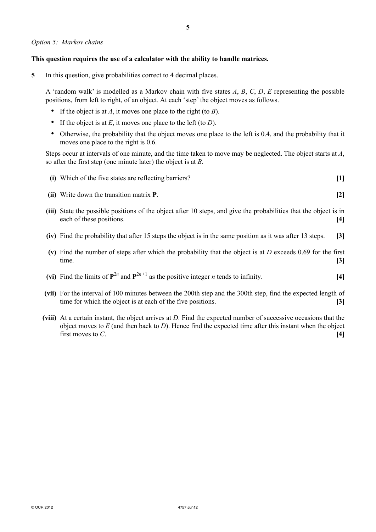#### *Option 5: Markov chains*

### **This question requires the use of a calculator with the ability to handle matrices.**

**5** In this question, give probabilities correct to 4 decimal places.

A 'random walk' is modelled as a Markov chain with five states *A*, *B*, *C*, *D*, *E* representing the possible positions, from left to right, of an object. At each 'step' the object moves as follows.

- If the object is at *A*, it moves one place to the right (to *B*).
- If the object is at *E*, it moves one place to the left (to *D*).
- Otherwise, the probability that the object moves one place to the left is 0.4, and the probability that it moves one place to the right is 0.6.

Steps occur at intervals of one minute, and the time taken to move may be neglected. The object starts at *A*, so after the first step (one minute later) the object is at *B*.

| (i) Which of the five states are reflecting barriers?                                                             |  |
|-------------------------------------------------------------------------------------------------------------------|--|
| (ii) Write down the transition matrix <b>P</b> .                                                                  |  |
| (iii) State the possible positions of the object after 10 steps, and give the probabilities that the object is in |  |

 **(iv)** Find the probability that after 15 steps the object is in the same position as it was after 13 steps. **[3]**

each of these positions. **[4]**

- **(v)** Find the number of steps after which the probability that the object is at *D* exceeds 0.69 for the first time. **[3]**
- (vi) Find the limits of  $P^{2n}$  and  $P^{2n+1}$  as the positive integer *n* tends to infinity. [4]
	- **(vii)** For the interval of 100 minutes between the 200th step and the 300th step, find the expected length of time for which the object is at each of the five positions. **[3]**
	- **(viii)** At a certain instant, the object arrives at *D*. Find the expected number of successive occasions that the object moves to  $E$  (and then back to  $D$ ). Hence find the expected time after this instant when the object first moves to *C*. **[4]**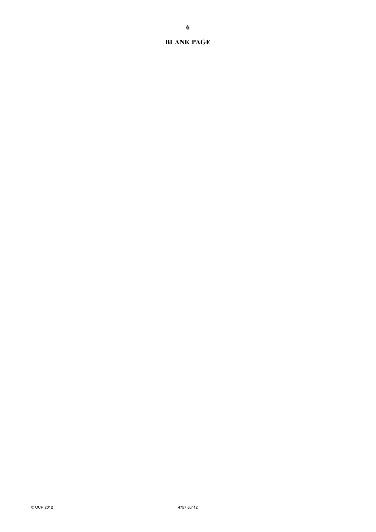## **BLANK PAGE**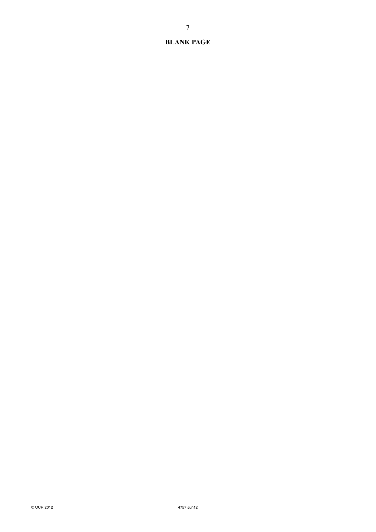## **BLANK PAGE**